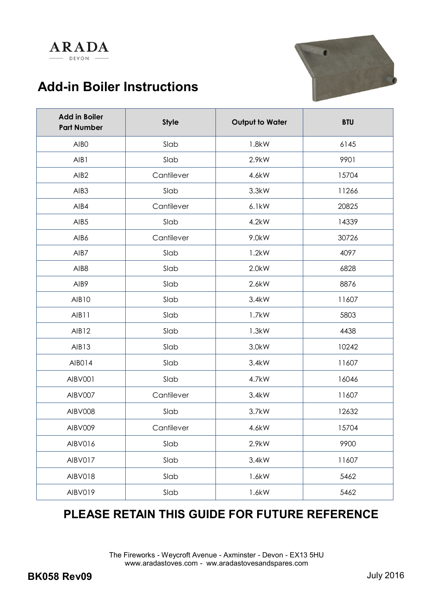# **Add-in Boiler Instructions**

**ARADA** DEVON -



| <b>Add in Boiler</b><br><b>Part Number</b> | <b>Style</b> | <b>Output to Water</b> | <b>BTU</b> |
|--------------------------------------------|--------------|------------------------|------------|
| AIB <sub>0</sub>                           | Slab         | 1.8kW                  | 6145       |
| AIB1                                       | Slab         | 2.9kW                  | 9901       |
| AIB <sub>2</sub>                           | Cantilever   | 4.6kW                  | 15704      |
| AIB <sub>3</sub>                           | Slab         | 3.3kW                  | 11266      |
| AIB4                                       | Cantilever   | 6.1kW                  | 20825      |
| AIB <sub>5</sub>                           | Slab         | 4.2kW                  | 14339      |
| AIB6                                       | Cantilever   | 9.0kW                  | 30726      |
| AIB7                                       | Slab         | 1.2kW                  | 4097       |
| AIB8                                       | Slab         | $2.0$ kW               | 6828       |
| AIB9                                       | Slab         | 2.6kW                  | 8876       |
| <b>AIB10</b>                               | Slab         | 3.4kW                  | 11607      |
| AIB11                                      | Slab         | 1.7kW                  | 5803       |
| AIB12                                      | Slab         | 1.3kW                  | 4438       |
| AIB13                                      | Slab         | 3.0kW                  | 10242      |
| AIB014                                     | Slab         | 3.4kW                  | 11607      |
| AIBV001                                    | Slab         | 4.7kW                  | 16046      |
| AIBV007                                    | Cantilever   | 3.4kW                  | 11607      |
| AIBV008                                    | Slab         | 3.7kW                  | 12632      |
| AIBV009                                    | Cantilever   | 4.6kW                  | 15704      |
| AIBV016                                    | Slab         | 2.9kW                  | 9900       |
| AIBV017                                    | Slab         | 3.4kW                  | 11607      |
| AIBV018                                    | Slab         | 1.6kW                  | 5462       |
| AIBV019                                    | Slab         | 1.6kW                  | 5462       |

# **PLEASE RETAIN THIS GUIDE FOR FUTURE REFERENCE**

The Fireworks - Weycroft Avenue - Axminster - Devon - EX13 5HU www.aradastoves.com - ww.aradastovesandspares.com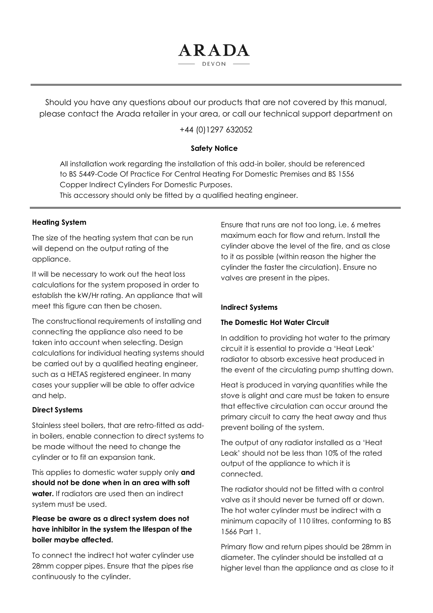Should you have any questions about our products that are not covered by this manual, please contact the Arada retailer in your area, or call our technical support department on

ARADA  $DFVON$ 

+44 (0)1297 632052

#### **Safety Notice**

All installation work regarding the installation of this add-in boiler, should be referenced to BS 5449-Code Of Practice For Central Heating For Domestic Premises and BS 1556 Copper Indirect Cylinders For Domestic Purposes.

This accessory should only be fitted by a qualified heating engineer.

#### **Heating System**

The size of the heating system that can be run will depend on the output rating of the appliance.

It will be necessary to work out the heat loss calculations for the system proposed in order to establish the kW/Hr rating. An appliance that will meet this figure can then be chosen.

The constructional requirements of installing and connecting the appliance also need to be taken into account when selecting. Design calculations for individual heating systems should be carried out by a qualified heating engineer, such as a HETAS registered engineer. In many cases your supplier will be able to offer advice and help.

#### **Direct Systems**

Stainless steel boilers, that are retro-fitted as addin boilers, enable connection to direct systems to be made without the need to change the cylinder or to fit an expansion tank.

This applies to domestic water supply only **and should not be done when in an area with soft water.** If radiators are used then an indirect system must be used.

# **Please be aware as a direct system does not have inhibitor in the system the lifespan of the boiler maybe affected.**

To connect the indirect hot water cylinder use 28mm copper pipes. Ensure that the pipes rise continuously to the cylinder.

Ensure that runs are not too long, i.e. 6 metres maximum each for flow and return. Install the cylinder above the level of the fire, and as close to it as possible (within reason the higher the cylinder the faster the circulation). Ensure no valves are present in the pipes.

#### **Indirect Systems**

#### **The Domestic Hot Water Circuit**

In addition to providing hot water to the primary circuit it is essential to provide a 'Heat Leak' radiator to absorb excessive heat produced in the event of the circulating pump shutting down.

Heat is produced in varying quantities while the stove is alight and care must be taken to ensure that effective circulation can occur around the primary circuit to carry the heat away and thus prevent boiling of the system.

The output of any radiator installed as a 'Heat Leak' should not be less than 10% of the rated output of the appliance to which it is connected.

The radiator should not be fitted with a control valve as it should never be turned off or down. The hot water cylinder must be indirect with a minimum capacity of 110 litres, conforming to BS 1566 Part 1.

Primary flow and return pipes should be 28mm in diameter. The cylinder should be installed at a higher level than the appliance and as close to it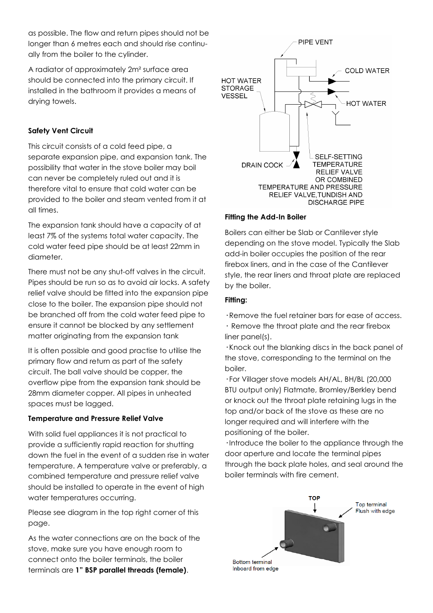as possible. The flow and return pipes should not be longer than 6 metres each and should rise continually from the boiler to the cylinder.

A radiator of approximately 2m² surface area should be connected into the primary circuit. If installed in the bathroom it provides a means of drying towels.

# **Safety Vent Circuit**

This circuit consists of a cold feed pipe, a separate expansion pipe, and expansion tank. The possibility that water in the stove boiler may boil can never be completely ruled out and it is therefore vital to ensure that cold water can be provided to the boiler and steam vented from it at all times.

The expansion tank should have a capacity of at least 7% of the systems total water capacity. The cold water feed pipe should be at least 22mm in diameter.

There must not be any shut-off valves in the circuit. Pipes should be run so as to avoid air locks. A safety relief valve should be fitted into the expansion pipe close to the boiler. The expansion pipe should not be branched off from the cold water feed pipe to ensure it cannot be blocked by any settlement matter originating from the expansion tank

It is often possible and good practise to utilise the primary flow and return as part of the safety circuit. The ball valve should be copper, the overflow pipe from the expansion tank should be 28mm diameter copper. All pipes in unheated spaces must be lagged.

# **Temperature and Pressure Relief Valve**

With solid fuel appliances it is not practical to provide a sufficiently rapid reaction for shutting down the fuel in the event of a sudden rise in water temperature. A temperature valve or preferably, a combined temperature and pressure relief valve should be installed to operate in the event of high water temperatures occurring.

Please see diagram in the top right corner of this page.

As the water connections are on the back of the stove, make sure you have enough room to connect onto the boiler terminals, the boiler terminals are **1" BSP parallel threads (female)**.



# **Fitting the Add-In Boiler**

Boilers can either be Slab or Cantilever style depending on the stove model. Typically the Slab add-in boiler occupies the position of the rear firebox liners, and in the case of the Cantilever style, the rear liners and throat plate are replaced by the boiler.

# **Fitting:**

**·** Remove the fuel retainer bars for ease of access.

**·** Remove the throat plate and the rear firebox liner panel(s).

**·** Knock out the blanking discs in the back panel of the stove, corresponding to the terminal on the boiler.

**·** For Villager stove models AH/AL, BH/BL (20,000 BTU output only) Flatmate, Bromley/Berkley bend or knock out the throat plate retaining lugs in the top and/or back of the stove as these are no longer required and will interfere with the positioning of the boiler.

**·** Introduce the boiler to the appliance through the door aperture and locate the terminal pipes through the back plate holes, and seal around the boiler terminals with fire cement.